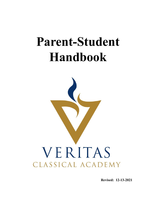# **Parent-Student Handbook**



**Revised: 12-13-2021**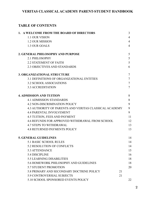## **TABLE OF CONTENTS**

| 1. A WELCOME FROM THE BOARD OF DIRECTORS                      | 3  |
|---------------------------------------------------------------|----|
| <b>1.1 OUR VISION</b>                                         | 4  |
| <b>1.2 OUR MISSION</b>                                        | 4  |
| 1.3 OUR GOALS                                                 | 4  |
|                                                               |    |
| 2. GENERAL PHILOSOPHY AND PURPOSE                             | 5  |
| 2.1 PHILOSOPHY                                                | 5  |
| <b>2.2 STATEMENT OF FAITH</b>                                 | 5  |
| <b>2.3 OBJECTIVES AND STANDARDS</b>                           | 6  |
| <b>3. ORGANIZATIONAL STRUCTURE</b>                            | 7  |
| 3.1 DEFINITIONS OF ORGANIZATIONAL ENTITIES                    | 7  |
| <b>3.2 SCHOOL ASSOCIATIONS</b>                                | 7  |
| <b>3.3 ACCREDITATION</b>                                      | 7  |
| <b>4. ADMISSION AND TUITION</b>                               | 8  |
| <b>4.1 ADMISSION STANDARDS</b>                                | 8  |
| <b>4.2 NON-DISCRIMINATION POLICY</b>                          | 9  |
| <b>4.3 AUTHORITY OF PARENTS AND VERITAS CLASSICAL ACADEMY</b> | 9  |
| <b>4.4 PARENTAL INVOLVEMENT</b>                               | 9  |
| 4.5 TUITION, FEES AND PAYMENT                                 | 11 |
| <b>4.6 REFUNDS FOR APPROVED WITHDRAWAL FROM SCHOOL</b>        | 12 |
| <b>4.7 STEPS TO WITHDRAWAL</b>                                | 13 |
| <b>4.8 RETURNED PAYMENTS POLICY</b>                           | 13 |
| <b>5. GENERAL GUIDELINES</b>                                  | 14 |
| <b>5.1 BASIC SCHOOL RULES</b>                                 | 14 |
| <b>5.2 RESOLUTION OF CONFLICTS</b>                            | 14 |
| <b>5.3 ATTENDANCE</b>                                         | 15 |
| 5.4 DISCIPLINE                                                | 16 |
| <b>5.5 LEARNING DISABILITIES</b>                              | 18 |
| 5.6 HOMEWORK PHILOSOPHY AND GUIDELINES                        | 18 |
| <b>5.7 STUDENT PROMOTION</b>                                  | 20 |
| 5.8 PRIMARY AND SECONDARY DOCTRINE POLICY                     | 21 |
| <b>5.9 CONTROVERSIAL SUBJECTS</b>                             | 21 |
| 5.10 SCHOOL SPONSORED EVENTS POLICY                           | 22 |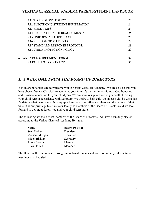| 23 |
|----|
| 24 |
| 24 |
| 25 |
| 25 |
| 28 |
| 28 |
| 29 |
| 32 |
| 32 |
|    |

# *1. A WELCOME FROM THE BOARD OF DIRECTORS*

It is an absolute pleasure to welcome you to Veritas Classical Academy! We are so glad that you have chosen Veritas Classical Academy as your family's partner in providing a God honoring and Classical education for your child(ren). We are here to support you in your call of raising your child(ren) in accordance with Scripture. We desire to help cultivate in each child a Christian Paideia, so that he or she is fully equipped and ready to influence others and the culture of their time. It is our privilege to serve your family as members of the Board of Directors and we look forward to getting to know you and your child(ren) more.

The following are the current members of the Board of Directors. All have been duly elected according to the Veritas Classical Academy By-laws.

| <b>Name</b>    | <b>Board Position</b> |
|----------------|-----------------------|
| Sean Hollen    | President             |
| Michael Morgan | Treasurer             |
| Eileen Bishop  | Secretary             |
| Annie Morgan   | Member                |
| Erica Hollen   | Member                |

The Board will communicate through school-wide emails and with community informational meetings as scheduled.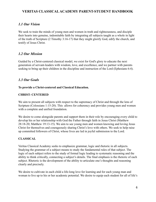### *1.1 Our Vision*

We seek to train the minds of young men and women in truth and righteousness, and disciple their hearts into genuine, indomitable faith by integrating all subjects taught as a whole in light of the truth of Scripture (2 Timothy 3:16-17) that they might glorify God, edify the church, and testify of Jesus Christ.

#### *1.2 Our Mission*

Guided by a Christ-centered classical model, we exist for God's glory to educate the next generation of servant-leaders with wisdom, love, and excellence, and we partner with parents seeking to bring up their children in the discipline and instruction of the Lord (Ephesians 6:4).

## *1.3 Our Goals*

#### **To provide a Christ-centered and Classical Education.**

#### **CHRIST- CENTERED**

We aim to present all subjects with respect to the supremacy of Christ and through the lens of Scripture (Colossians 1:15-20). This allows for coherency and provides young men and women with a complete and unified foundation.

We desire to come alongside parents and support them in their role by encouraging every child to develop his or her relationship with God the Father through faith in Jesus Christ (Matthew 28:18-20; Matthew 19:13-15). We aim to see young men and women knowing and loving Jesus Christ for themselves and courageously sharing Christ's love with others. We seek to help raise up committed followers of Christ, whose lives are led in joyful submission to the Lord.

#### **CLASSICAL**

Veritas Classical Academy seeks to emphasize grammar, logic and rhetoric in all subjects. Studying the grammar of a subject means to study the fundamental rules of that subject. The logic of each subject refers to the study of formal logic leading to systematic reasoning and the ability to think critically, connecting a subject's details. The final emphasis is the rhetoric of each subject. Rhetoric is the development of the ability to articulate one's thoughts and reasoning clearly and precisely.

We desire to cultivate in each child a life-long love for learning and for each young man and woman to live up to his or her academic potential. We desire to equip each student for all of life's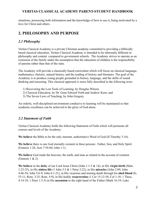situations, possessing both information and the knowledge of how to use it, being motivated by a love for Christ and others.

# **2. PHILOSOPHY AND PURPOSE**

## *2.1 Philosophy*

Veritas Classical Academy is a private Christian academy committed to providing a biblically based classical education. Veritas Classical Academy is intended to be inherently different in philosophy and content compared to government schools. The Academy strives to operate as an extension of the family under the assumption that the education of children is the responsibility of parents rather than that of the state.

The Academy will provide a classically based curriculum which will focus on classical language, mathematics, rhetoric, natural history, and the reading of history and literature. The goal of the Academy is to produce young people grounded in history, language, and the skills of sound thinking and reasoning. This classical approach is more fully described in the following texts:

- 1) Recovering the Lost Tools of Learning, by Douglas Wilson;
- 2) Classical Education, by Dr. Gene Edward Veith and Andrew Kern; and
- 3) The Seven Laws of Teaching, by John Gregory.

An orderly, well-disciplined environment conducive to learning will be maintained so that academic excellence can be achieved to the glory of God alone.

## *2.2 Statement of Faith*

Veritas Classical Academy holds the following Statement of Faith which will permeate all courses and levels of the Academy:

**We believe** the Bible to be the only inerrant, authoritative Word of God (II Timothy 3:16).

**We believe** there is one God eternally existent in three persons: Father, Son, and Holy Spirit (Genesis 1:26, Acts 7:54-60, John 1:1).

**We believe** God made the heavens, the earth, and man as related in the account of creation (Genesis 1 & 2).

**We believe** in the **deity** of our Lord Jesus Christ (John 1:1-5 & 14), in His **virgin birth** (Matt. 1:23-25), in His **sinless life** (1 John 3:5 & 1 Peter 2:22), in His **miracles** (John 2:89; John 4:46-54; John 5:6-9; John 6:1-21), in His vicarious and atoning death through his **shed blood** (Is. 53:11; Rom. 3:25; Rom. 5:9), in His bodily **resurrection** (1 Cor 15:12-58; Col 1:18; 1 Thess. 4:14-18; 1 Peter 1:3-5) in His **ascension** to the right hand of the Father (Mark 16:19; Luke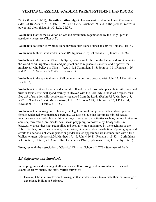24:50-51; Acts 1:9-11), His **authoritative reign** in heaven, earth and in the lives of believers (Mat. 28:18; Acts 2:32-36; Heb. 1:8-9; 1Cor. 15:25; Isaiah 9:6-7), and in His personal **return** in power and glory (Matt. 24:30; Luke 21:27).

**We believe** that for the salvation of lost and sinful men, regeneration by the Holy Spirit is absolutely necessary (Titus 3:5).

**We believe** salvation is by grace alone through faith alone (Ephesians 2:8-9; Romans 11:5-6).

**We believe** faith without works is dead (Philippians 2:12; Ephesians 2:10, James 2:14-26).

**We believe** in the person of the Holy Spirit, who came forth from the Father and Son to convict the world of sin, righteousness, and judgment and to regenerate, sanctify, and empower for ministry all who believe in Christ. (Acts 1:8; 2 Corinthians 3:18; John 16:8-11; Romans 8:26 and 15:13,16; Galatians 5:22-25; Hebrews 9:14).

**We believe** in the spiritual unity of all believers in our Lord Jesus Christ (John 17, 1 Corinthians 12 and 14).

**We believe** in a literal Heaven and a literal Hell and that all those who place their faith, hope and trust in Jesus Christ will spend eternity in Heaven with the Lord, while those who reject Jesus' free gift of salvation will spend eternity separated from the Lord. (Psalm 9:17; Matthew 5:3, 5:22; 18:9 and 25:31-34; Mark 9:42-49; Luke 12:5; John 3:18; Hebrews 12:23, 1 Peter 1:4; Revelation 14:10-11 and 20:11-15).

**We believe** that marriage is exclusively the legal union of one genetic male and one genetic female evidenced by a marriage ceremony. We also believe that legitimate biblical sexual relations are exercised solely within marriage. Hence, sexual activities such as, but not limited to, adultery, fornication, pre-marital sex, incest, polygamy, homosexuality, transgenderism, bisexuality, cross-dressing, pedophilia, and bestiality are condemned by the teachings of the Bible. Further, lascivious behavior, the creation, viewing and/or distribution of pornography and efforts to alter one's physical gender or gender related appearance are incompatible with a true biblical witness. (Genesis 2:24; Matthew 19:4-6; John 4:16-18; Romans 1:18-32; 1 Corinthians 5:11, 6:9-11, 6:18-20, 7:1-3 and 7:8-9; Galatians 5:19-21; Ephesians 5:3-7; 1 Timothy 1:9-11)

**We agree** with the Association of Classical Christian Schools (ACCS) Statement of Faith.

## *2.3 Objectives and Standards*

In the programs and teaching at all levels, as well as through extracurricular activities and examples set by faculty and staff, Veritas strives to:

1. Develop Christian worldview thinking, so that students learn to evaluate their entire range of experience in light of Scripture.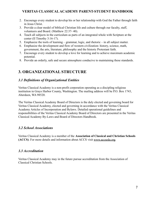- 2. Encourage every student to develop his or her relationship with God the Father through faith in Jesus Christ.
- 3. Provide a clear model of biblical Christian life and culture through our faculty, staff, volunteers and Board. (Matthew 22:37- 40).
- 4. Teach all subjects in the curriculum as parts of an integrated whole with Scripture at the center (II Timothy 3:16-17).
- 5. Emphasize the tools of learning grammar, logic, and rhetoric in all subject matter.
- 6. Emphasize the development and flow of western civilization: history, science, math, government, the arts, literature, philosophy and the historic Protestant faith.
- 7. Encourage every student to develop a love for learning and to achieve maximum academic potential.
- 8. Provide an orderly, safe and secure atmosphere conducive to maintaining these standards.

# **3. ORGANIZATIONAL STRUCTURE**

## *3.1 Definitions of Organizational Entities*

Veritas Classical Academy is a non-profit corporation operating as a discipling religious institution in Grays Harbor County, Washington. The mailing address will be P.O. Box 1743, Aberdeen, WA 98520.

The Veritas Classical Academy Board of Directors is the duly elected and governing board for Veritas Classical Academy, elected and governing in accordance with the Veritas Classical Academy Articles of Incorporation and Bylaws. Detailed operational guidelines and responsibilities of the Veritas Classical Academy Board of Directors are presented in the Veritas Classical Academy By-Laws and Board of Directors Handbook.

## *3.2 School Associations*

Veritas Classical Academy is a member of the **Association of Classical and Christian Schools (ACCS)**. For more details and information about ACCS visit [www.accsedu.org.](http://www.accsedu.org)

## *3.3 Accreditation*

Veritas Classical Academy may in the future pursue accreditation from the Association of Classical Christian Schools.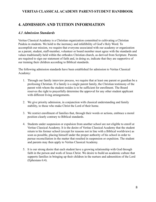# **4. ADMISSION AND TUITION INFORMATION**

#### *4.1 Admission Standards*

Veritas Classical Academy is a Christian organization committed to cultivating a Christian Paideia in students. We hold to the inerrancy and infallibility of God's Holy Word. To accomplish our mission, we require that everyone associated with our academy or organization as a parent, student, staff-member, volunteer or board member must agree with the standards and values traditionally held within the orthodox Christian church, as derived from Scripture. Parents are required to sign our statement of faith and, in doing so, indicate that they are supportive of our training their children according to Biblical standards.

The following admission standards have been established for admission to Veritas Classical Academy:

- 1. Through our family interview process, we require that at least one parent or guardian be a professing Christian. If a family is a single parent family, the Christian testimony of the parent with whom the student resides is to be sufficient for enrollment. The Board reserves the right to prayerfully determine the approval for any other student applicant with different living arrangements.
- 2. We give priority admission, in conjunction with classical understanding and family stability, to those who make Christ the Lord of their home.
- 3. We restrict enrollment of families that, through their words or actions, embrace a moral position clearly contrary to Biblical standards.
- 4. Students under suspension or expulsion from another school are not eligible to enroll at Veritas Classical Academy. It is the desire of Veritas Classical Academy that the student return to his former school (except for reasons not in line with a Biblical worldview) as soon as possible, placing himself under the proper authority of his school in order to pursue reconciliation in the matter that resulted in suspension or expulsion. The student and parents may then apply to Veritas Classical Academy.
- 5. It is our strong desire that each student have a growing relationship with God through faith in the person and work of Jesus Christ. We desire to build an academic culture that supports families in bringing up their children in the nurture and admonition of the Lord (Ephesians 6:4).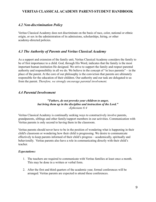#### *4.2 Non-discrimination Policy*

Veritas Classical Academy does not discriminate on the basis of race, color, national or ethnic origin, or sex in the administration of its admissions, scholarships, hiring, or other academy-directed policies.

#### *4.3 The Authority of Parents and Veritas Classical Academy*

As a support and extension of the family unit, Veritas Classical Academy considers the family to be of first importance to a child. God, through His Word, indicates that the family is the most important human institution He designed. We strive to support the family and respect parental authority and responsibility in all we do. We believe in the concept of "in loco parentis" – in the place of the parent. At the core of our philosophy is the conviction that parents are ultimately responsible for the education of their children. Our authority and our task are delegated to us from the parent. *Therefore, we strongly encourage parental involvement.*

#### *4.4 Parental Involvement*

#### *"Fathers, do not provoke your children to anger, but bring them up in the discipline and instruction of the Lord." -Ephesians 6:4*

Veritas Classical Academy is continually seeking ways to constructively involve parents, grandparents, siblings and other family/support members in our activities. Communication with Veritas parents is only second to having them in the classroom.

Veritas parents should never have to be in the position of wondering what is happening in their child's classroom or wondering how their child is progressing. We desire to communicate effectively to keep parents informed of their child's progress – academically, spiritually and behaviorally. Veritas parents also have a role in communicating directly with their child's teacher.

#### *Expectations:*

- 1. The teachers are required to communicate with Veritas families at least once a month. This may be done in a written or verbal form.
- 2. After the first and third quarters of the academic year, formal conferences will be arranged. Veritas parents are expected to attend these conferences.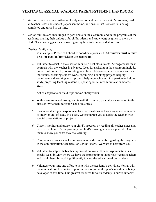- 3. Veritas parents are responsible to closely monitor and praise their child's progress, read all teacher notes and student papers sent home, and ensure that homework is being completed and turned in on time.
- 4. Veritas families are encouraged to participate in the classroom and in the programs of the academy, sharing their unique gifts, skills, talents and knowledge as given to them by God. Please see suggestions below regarding how to be involved at Veritas.

\*Veritas family may:

- 1. Visit campus. Please call ahead to coordinate your visit. **All visitors must receive a visitor pass before visiting the classroom.**
- 2. Volunteer to assist in the classroom or help host class events. Arrangements must be made with the teacher in advance. Ideas for assisting in the classroom include, but are not limited to, contributing to a class celebration/picnic, reading with an individual, checking student work, organizing a cooking project, helping coordinate and teaching an art project, helping teach a unit in a particular field of study, preparing teaching materials, updating bulletin/communication boards, etc…
- 3. Act as chaperone on field trips and/or library visits.
- 4. With permission and arrangements with the teacher, present your vocation to the class or invite them to your place of business.
- 5. Present or share your experience, trips, or vacations as they may relate to an area of study or unit of study in a class. We encourage you to assist the teacher with special presentations or projects.
- 6. Closely monitor and praise your child's progress by reading all teacher notes and papers sent home. Participate in your child's learning whenever possible. Ask them to show you what they are learning.
- 7. Communicate your ideas for improvement and comments regarding the programs to the administration, teacher(s) or Veritas Board. We want to hear from you.
- 8. Volunteer to help with Teacher Appreciation Week. Teacher Appreciation is a special week in May where we have the opportunity to honor our Veritas teachers and thank them for working diligently toward the education of our students.
- 9. Volunteer your time and effort to help with the academy's activities. Veritas will communicate such volunteer opportunities to you as the year's schedule is being developed at this time. Our greatest resource for our academy is our volunteers!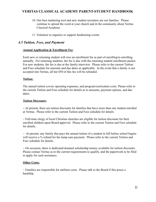- 10. Our best marketing tool and new student recruiters are our families. Please continue to spread the word at your church and in the community about Veritas Classical Academy.
- 11. Volunteer to organize or support fundraising events.

#### *4.5 Tuition, Fees, and Payment*

#### **Annual Application & Enrollment Fee**:

Each new or returning student will owe an enrollment fee as part of enrolling/re-enrolling annually. For returning students, the fee is due with the returning student enrollment packet. For new students, the fee is due at the family interview. Please refer to the current Tuition and Fees schedule for amounts and due dates as applicable. In the event that a family is not accepted into Veritas, all but \$50 of this fee will be refunded.

#### **Tuition:**

The annual tuition covers operating expenses, and program/curriculum costs. Please refer to the current Tuition and Fees schedule for details as to amounts, payment options, and due dates.

#### **Tuition Discounts:**

**~** At present, there are tuition discounts for families that have more than one student enrolled at Veritas. Please refer to the current Tuition and Fees schedule for details.

 $\sim$  Full-time clergy of local Christian churches are eligible for tuition discounts for their enrolled children upon Board approval. Please refer to the current Tuition and Fees schedule for details.

 $\sim$  At present, any family that pays the annual tuition of a student in full before school begins will receive a % refund for the lump sum payment. Please refer to the current Tuition and Fees schedule for details.

 $\sim$  On occasion, there is dedicated donated scholarship money available for tuition discounts. Please contact Veritas as to the current requirements to qualify, and the paperwork to be filed to apply for such assistance.

#### **Other Costs:**

 $\sim$  Families are responsible for uniform costs. Please talk to the Board if this poses a hardship.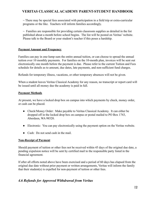$\sim$  There may be special fees associated with participation in a field trip or extra-curricular programs or the like. Teachers will inform families accordingly.

 $\sim$  Families are responsible for providing certain classroom supplies as detailed in the list published about a month before school begins. The list will be posted on Veritas' website. Please talk to the Board or your student's teacher if this poses a hardship.

#### **Payment Amount and Frequency**

Families can pay in one-lump sum the entire annual tuition, or can choose to spread the annual tuition over 10 monthly payments. For families on the 10-month plan, invoices will be sent out electronically one month before the payment is due. Please refer to the current Tuition and Fees schedule for details as to amount, due dates, late payments, and non-sufficient fund charges.

Refunds for temporary illness, vacations, or other temporary absences will not be given.

When a student leaves Veritas Classical Academy for any reason, no transcript or report card will be issued until all money due the academy is paid in full.

#### **Payment Methods**

At present, we have a locked drop box on campus into which payments by check, money order, or cash can be placed.

- Check/Money Order: Make payable to Veritas Classical Academy. It can either be dropped off in the locked drop box on campus or postal mailed to PO Box 1743, Aberdeen, WA 98520.
- Electronic: You can pay electronically using the payment option on the Veritas website.
- Cash: Do not send cash in the mail.

#### **Non-Receipt of Payment**

Should payment of tuition or other fees not be received within 45 days of the original due date, a pending expulsion notice will be sent by certified mail to the responsible party listed in the financial agreement.

If after all efforts noted above have been exercised and a period of 60 days has elapsed from the original due date without prior payment or written arrangements, Veritas will inform the family that their student(s) is expelled for non-payment of tuition or other fees.

## *4.6 Refunds for Approved Withdrawal from Veritas*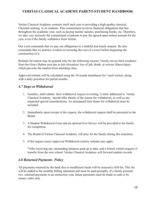Veritas Classical Academy commits itself each year to providing a high-quality classical, Christian training to its students. This commitment involves financial obligations that last throughout the academic year, such as paying teacher salaries, purchasing books, etc. Therefore, we take very seriously the commitment of parents to pay the agreed-upon tuition amount for the year, even if the family withdraws from Veritas.

Our Lord commands that we pay our obligations in a faithful and timely manner. He also commands that we practice wisdom in assessing the cost of a tower before beginning the construction of it.

Refunds for tuition may be granted only for the following reasons: Family moves their residence from the Grays Harbor area due to job relocation; loss of job; death, or serious illness/injury which prevents the student from attending class.

Approved refunds will be calculated using the 10 month installment for "used' tuition, along with a daily proration for partial months.

#### *4.7 Steps to Withdrawal*

- 1. Families shall submit their withdrawal request in writing. A letter addressed to Veritas Classical Academy should offer details of the reason for withdrawal, as well as any requested special considerations. An anticipated time frame for withdrawal must be included.
- 2. Immediately upon receipt of the request, the withdrawal request shall be presented to the Board.
- 3. A Student Withdrawal Form and an optional Exit Survey will be provided to the family for completion.
- 4. The Board of Veritas Classical Academy will pray for the family during this transition.
- 5. If the request meets Approved Withdrawal criteria, refunds may apply.

\*After receiving any outstanding balances paid up to date, and a formal written request of transfer from the new school, Veritas Classical Academy will forward student records

#### *4.8 Returned Payments Policy*

All payments returned by the bank due to insufficient funds will be assessed a \$30 fee. This fee will be added to the monthly billing statement and must be paid promptly. If a family presents two returned payments in an instruction year, future payments must be made in cash or by money order only.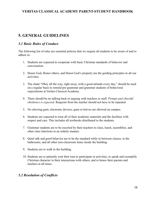# **5. GENERAL GUIDELINES**

#### *5.1 Basic Rules of Conduct*

The following list of rules are essential policies that we require all students to be aware of and to adhere to:

- 1. Students are expected to cooperate with basic Christian standards of behavior and conversation.
- 2. Honor God, Honor others, and Honor God's property are the guiding principles in all our activities.
- 3. The chant "Obey all the way, right away, with a good attitude every day," should be used on a regular basis to remind pre-grammar and grammar students of behavioral expectations at Veritas Classical Academy.
- 4. There should be no talking back or arguing with teachers or staff. *Prompt and cheerful obedience is expected.* Requests from the teacher should not have to be repeated.
- 5. No chewing gum, electronic devices, guns or knives are allowed on campus.
- 6. Students are expected to treat all of their academic materials and the facilities with respect and care. This includes all textbooks distributed to the students.
- 7. Grammar students are to be escorted by their teachers to class, lunch, assemblies, and other class functions in an orderly manner.
- 8. Quiet talk and good behavior are to be the standard while in between classes, in the bathrooms, and all other non-classroom times inside the building.
- 9. Students are to walk in the building.
- 10. Students are to patiently wait their turn to participate in activities, to speak and exemplify Christian character in their interactions with others, and to honor their parents and teachers at all times.

## *5.2 Resolution of Conflicts*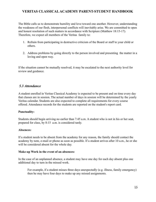The Bible calls us to demonstrate humility and love toward one another. However, understanding the weakness of our flesh, interpersonal conflicts will inevitably arise. We are committed to open and honest resolution of such matters in accordance with Scripture (Matthew 18:15-17). Therefore, we expect all members of the Veritas family to:

- 1. Refrain from participating in destructive criticism of the Board or staff to your child or others.
- 2. Address problems by going directly to the person involved and presenting the matter in a loving and open way.

If the situation cannot be mutually resolved, it may be escalated to the next authority level for review and guidance.

#### *5.3 Attendance*

A student enrolled in Veritas Classical Academy is expected to be present and on time every day that classes are in session. The actual number of days in session will be determined by the yearly Veritas calendar. Students are also expected to complete all requirements for every course offered. Attendance records for the students are reported on the student's report card.

#### **Punctuality:**

Students should begin arriving no earlier than 7:45 a.m. A student who is not in his or her seat, prepared for class, by 8:15 a.m. is considered tardy.

#### **Absences:**

If a student needs to be absent from the academy for any reason, the family should contact the academy by note, e-mail or phone as soon as possible. If a student arrives after 10 a.m., he or she will be considered absent for the whole day.

#### **Make-up Work in the event of an absences:**

In the case of an unplanned absence, a student may have one day for each day absent plus one additional day to turn in the missed work.

For example, if a student misses three days unexpectedly (e.g. illness, family emergency) then he may have four days to make up any missed assignments.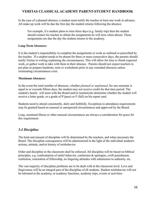In the case of a planned absence, a student must notify the teacher at least one week in advance. All make up work will be due the first day the student returns following the absence.

For example, if a student plans to miss three days (e.g. family trip) then the student should contact his teacher to obtain the assignments he will miss when absent. Those assignments are due the day the student returns to the academy.

#### **Long-Term Absences:**

It is the student's responsibility to complete the assignments or work as outlined or prescribed by the teacher. If a student needs to be absent for three or more consecutive days, the parents should notify Veritas in writing explaining the circumstances. This will allow for time to finish expected work, or gather work to take with them in their absence. Parents should not expect teachers to pre-plan or prepare handouts, tests or worksheets prior to any extended absences unless extenuating circumstances exist.

#### **Maximum Absences:**

In the event the total number of absences, whether *planned or unplanned*, for one semester is equal to or exceeds fifteen days, the student may not receive credit for that time period. The student's family will meet with the Board and/or teacher(s)to determine whether the student will receive a letter grade, or a grade of P (pass) or F (fail) on his report card.

Students need to attend consistently, daily and faithfully. Exceptions to attendance requirements may be granted based on unusual or unexpected circumstances and approved by the Board.

Long, sustained illness or other unusual circumstances are always a consideration for grace for this requirement.

## *5.4 Discipline*

The kind and amount of discipline will be determined by the teachers, and when necessary the Board. The discipline consequences will be administered in the light of the individual student's actions, attitude, and/or history of misbehavior.

Order and discipline in the classroom shall be enforced. All discipline will be based on biblical principles, e.g. confrontation of sinful behavior, confession & apologies, swift punishment, restitution, restoration of fellowship, no lingering attitudes with submission to authority, etc.

The vast majority of discipline problems are to be dealt with at the classroom level. Love and forgiveness will be an integral part of the discipline of all students. Student misbehavior will not be tolerated at the academy, at academy functions, academy trips, events or activities.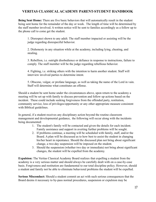**Being Sent Home:** There are five basic behaviors that will automatically result in the student being sent home for the remainder of the day or week. The length of time will be determined by the staff member involved. A written notice will be sent to families accordingly as a follow up to the phone call to come get the student.

1. Disrespect shown to any adult. The staff member impacted or assisting will be the judge regarding disrespectful behavior.

2. Dishonesty in any situation while at the academy, including lying, cheating, and stealing.

3. Rebellion, i.e. outright disobedience or defiance in response to instructions, failure to comply. The staff member will be the judge regarding rebellious behavior.

4. Fighting, i.e. striking others with the intention to harm another student. Staff will interview involved parties to determine intent.

5. Obscene, vulgar, or profane language, as well as taking the name of the Lord in vain. Staff will determine what constitutes an offense.

Should a student be sent home under the circumstances above, upon return to the academy a meeting will be set up with family to discuss prevention and follow up actions based on the incident. These could include seeking forgiveness from the offended party, restitution, community service, loss of privileges/opportunity or any other appropriate measure consistent with Biblical guidelines.

In general, if a student receives any disciplinary action beyond the routine classroom management and developmental guidance, the following will occur along with the incidents being documented:

- 1. The student's family will be contacted and given the details for each incident. Family assistance and support in averting further problems will be sought.
- 2. If problems continue, a meeting will be scheduled with family, staff, and/or the Board. A plan will be discussed as to how best to assist the student in changing his/her heart in repentance. Should the discussed plan not bring about significant change, a two-day suspension will be imposed on the student.
- 3. Should the suspension (whether two day or immediate) not bring about significant changes, the student will be expelled from the academy.

**Expulsion:** The Veritas Classical Academy Board realizes that expelling a student from the academy is a very serious matter and should always be carefully dealt with on a case-by-case basis. Forgiveness and restitution are fundamental to our total discipline policy. However, should a student and family not be able to eliminate behavioral problems the student will be expelled.

**Serious Misconduct:** Should a student commit an act with such serious consequences that the Board deems it necessary to by-pass normal procedures, suspension or expulsion may be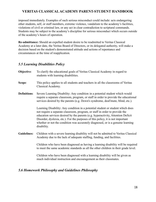imposed immediately. Examples of such serious misconduct could include: acts endangering other students, self, or staff members, extreme violence, vandalism to the academy's facilities, violations of civil or criminal law, or any act in clear contradiction to scriptural commands. Students may be subject to the academy's discipline for serious misconduct which occurs outside of the academy's hours of operation.

**Re-admittance:** Should an expelled student desire to be readmitted to Veritas Classical Academy at a later date, the Veritas Board of Directors, or its delegated authority, will make a decision based on the student's demonstrated attitude and actions of repentance and circumstances at the time of reapplication.

#### *5.5 Learning Disabilities Policy*

- **Objective:** To clarify the educational goals of Veritas Classical Academy in regard to students with learning disabilities.
- **Scope**: This policy applies to all students and teachers in all the classrooms of Veritas Classical Academy.
- **Definitions**: Severe Learning Disability: Any condition in a potential student which would require a separate classroom, program, or staff in order to provide the educational services desired by the parents (e.g. Down's syndrome, deaf/mute, blind, etc.).

Learning Disability: Any condition in a potential student or student which does not require a separate classroom, program, or staff in order to provide the education services desired by the parents (e.g. hyperactivity, Attention Deficit Disorder, dyslexia, etc.). For the purposes of this policy, it is not important whether or not the condition was accurately diagnosed, or is a genuine learning disability.

**Guidelines:** Children with a severe learning disability will not be admitted to Veritas Classical Academy due to the lack of adequate staffing, funding, and facilities.

> Children who have been diagnosed as having a learning disability will be required to meet the same academic standards as all the other children in their grade level.

Children who have been diagnosed with a learning disability will be given as much individual instruction and encouragement as their classmates.

#### *5.6 Homework Philosophy and Guidelines Philosophy*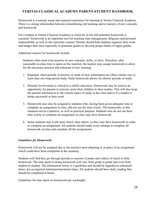Homework is a normal, usual and required experience for learning at Veritas Classical Academy. There is a strong relationship between remembering old learning and/or mastery of new concepts and homework.

For a student at Veritas Classical Academy to reach his or her full potential homework is essential. Homework is an important tool for teaching time management, diligence and personal responsibility as well as the curricular content. Parents should help students organize their work and budget their time especially in grammar grades to develop proper habits of upper grades.

Additional reasons for homework include:

Students often need extra practice in new concepts, skills, or facts. Therefore, after reasonable in-class time is spent on the material, the teacher may assign homework to allow for the necessary practice and rehearsal of new learning.

- 1. Repeated, short periods of practice or study of new information are often a better way to learn than one long period study. Daily homework allows for shorter periods of study.
- 2. Parental involvement is critical to a child's education. Homework may be used as an opportunity for parents to actively assist their children in their studies. This will also keep the parents informed as to the current topics of study in the class and/or if a student is being successful at their work.
- 3. Homework may also be assigned to students who, having been given adequate time to complete an assignment in class, did not use the time wisely. The homework, in this situation serves a punitive, as well as practical purpose. Students who do not use their time wisely to complete an assignment in class may have homework.
- 4. Some students may work more slowly than others, so they may have homework in order to complete an assignment. All students should make every attempt to complete all homework on time and complete all the assignments.

#### *Guidelines for Homework:*

Homework will not be assigned due to the teacher's poor planning or in place of an assignment which could have been completed at the academy.

Students will find they go through periods or seasons of peaks and valleys of much or little homework. The time spent in doing homework will vary from grade to grade and even from student to student. The information below is a guideline and should be regarded as estimated times, not as required minimum/maximum times. All students should have daily reading that should be completed at home.

Guidelines for time spent on homework per weeknight.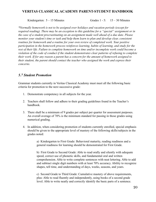Kindergarten:  $5 - 15$  Minutes Grades 1 - 5: 15 – 30 Minutes

*\*Normally homework is not to be assigned over holidays and vacation periods (except for required reading). There may be an exception to this guideline for a "special" assignment or in the case of a student procrastinating on an assignment made well ahead of a due date. Please monitor your student's time or task and help them learn to plan and develop clear, consistent routines for homework and a routine for your own review of completed work. Your positive participation in the homework process reinforces learning, habits of learning, and study for the rest of their life. Failure to complete homework on time and/or incomplete work could become a violation of the code of conduct if the student demonstrates clear patterns of refusing to complete their work. If for any reason a parent has a concern for the amount of homework assigned to their student, the parent should contact the teacher who assigned the work and express their concerns.*

#### *5.7 Student Promotion*

Grammar students currently in Veritas Classical Academy must meet all the following basic criteria for promotion to the next successive grade:

- 1. Demonstrate competency in all subjects for the year.
- 2. Teachers shall follow and adhere to their grading guidelines found in the Teacher's handbook.
- 3. There shall be a minimum of 9 grades per subject per quarter for assessment purposes. An overall average of 70% is the minimum standard for passing in those grades using numerical grading.
- 4. In addition, when considering promotion of students currently enrolled, special emphasis should be given to the appropriate level of mastery of the following skills/subjects in the grades noted:

a) Kindergarten to First Grade: Behavioral maturity, reading readiness and a general readiness for learning should be demonstrated for First Grade.

b) First Grade to Second Grade: Able to read orally and silently with adequate speed, correct use of phonetic skills, and fundamental oral and written comprehension. Able to write complete sentences with neat lettering. Able to add and subtract single digit numbers with at least 70% accuracy. Ability to recognize shapes, tell time, and understanding of days, weeks, seasons, and years.

c) Second Grade to Third Grade: Cumulative mastery of above requirements, plus: Able to read fluently and independently, using books of a second grade level. Able to write neatly and correctly identify the basic parts of a sentence.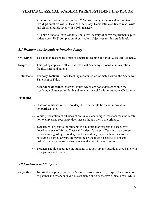Able to spell correctly with at least 70% proficiency. Able to add and subtract two-digit numbers with at least 70% accuracy. Demonstrate ability to read, write and cipher at grade level with a 70% mastery.

d) Third Grade to Sixth Grade: Cumulative mastery of above requirements, plus: satisfactory (70%) completion of curriculum objectives for this grade level.

#### *5.8 Primary and Secondary Doctrine Policy*

| Objective:          | To establish reasonable limits of doctrinal teaching at Veritas Classical Academy.                                                                                 |
|---------------------|--------------------------------------------------------------------------------------------------------------------------------------------------------------------|
| Scope:              | This policy applies to all Veritas Classical Academy's Board, administration,<br>faculty, staff, and parents.                                                      |
| <b>Definitions:</b> | <b>Primary doctrine:</b> Those teachings contained or intimated within the Academy's<br>Statement of Faith.                                                        |
|                     | <b>Secondary doctrine:</b> Doctrinal issues which are not addressed within the<br>Academy's Statement of Faith and are controversial within orthodox Christianity. |

#### **Principles**:

- 1) Classroom discussion of secondary doctrine should be on an informative, nonpartisan level.
- 2) While presentation of all sides of an issue is encouraged, teachers must be careful not to emphasize secondary doctrines as though they were primary.
- 3) Teachers will speak to the students in a manner that respects the secondary doctrinal views of Veritas Classical Academy's parents. Teachers may present their views regarding secondary doctrine and may express their reasons for believing a particular way. However, he or she must be careful to present orthodox alternative secondary views with credibility and respect.
- 4) Teachers should encourage the students to follow up any questions they have with their parents and pastor.

#### *5.9 Controversial Subjects*

**Objective**: To establish a policy that helps Veritas Classical Academy respect the convictions of parents and teachers in various academic and/or sensitive subject areas, while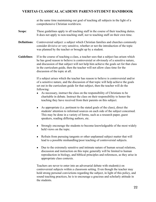at the same time maintaining our goal of teaching all subjects in the light of a comprehensive Christian worldview.

#### **Scope**: These guidelines apply to all teaching staff in the course of their teaching duties. It does not apply to non-teaching staff, nor to teaching staff on their own time.

- **Definitions:** Controversial subject: a subject which Christian families and churches commonly consider divisive or very sensitive, whether or not the introduction of the topic was planned by the teacher or brought up by a student.
- **Guidelines**: If in the course of teaching a class, a teacher sees that a subject has arisen which he has good reason to believe is controversial or obviously of a sensitive nature, and discussion of that subject will not help him achieve the goals set for that class in the curriculum guide, then the teacher will not allow class time for the discussion of the topic at all.

If a subject arises which the teacher has reason to believe is controversial and/or of a sensitive nature, and the discussion of that topic will help achieve the goals set out in the curriculum guide for that subject, then the teacher will do the following:

- As necessary, instruct the class on the responsibility of Christians to be charitable in debate. Instruct the class on their responsibility to honor the teaching they have received from their parents on this subject.
- As appropriate (i.e. pertinent to the stated goals of the class), direct the students' attention to informed sources on each side of the subject concerned. This may be done in a variety of forms, such as a research paper, guest speakers, reading differing authors, etc.
- Strongly encourage the students to become knowledgeable of the most widely held views on the topic.
- Refrain from pursuing tangents or other unplanned subject matter that will lead to a possible mishandling/poor teaching of controversial subjects.
- Due to the extremely sensitive and intimate nature of human sexual relations, discussion and instruction on this topic generally will be limited to human reproduction in biology, and biblical principles and references, as they arise in appropriate class contexts.

Teachers are never to enter into an adversarial debate with student(s) on controversial subjects within a classroom setting. Even though the teacher may hold strong personal convictions regarding the subject, in light of this policy, and sound teaching practices, he is to encourage a gracious and scholarly attitude in the students.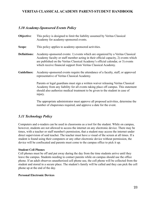#### *5.10 Academy-Sponsored Events Policy*

- **Objective:** This policy is designed to limit the liability assumed by Veritas Classical Academy for academy-sponsored events.
- **Scope**: This policy applies to academy-sponsored activities.
- **Definitions:** Academy-sponsored events: 1) events which are organized by a Veritas Classical Academy faculty or staff member acting in their official capacity, 2) events which are published on the Veritas Classical Academy's official calendar, or 3) events which receive financial support from Veritas Classical Academy.
- **Guidelines:** Academy-sponsored events require the attendance of a faculty, staff, or approved representative of Veritas Classical Academy.

Parents or legal guardians must sign a written waiver releasing Veritas Classical Academy from any liability for all events taking place off campus. This statement should also authorize medical treatment to be given to the student in case of injury.

The appropriate administrator must approve all proposed activities, determine the number of chaperones required, and approve a date for the event.

## *5.11 Technology Policy*

Computers and e-readers can be used in classrooms as a tool for the student. While on campus, however, students are not allowed to access the internet on any electronic device. There may be times, with a teacher or staff member's permission, that a student may access the internet under direct supervision of said teacher. The teacher must have a visual of the screen at all times. If a student is found using their computers or any other electronic device without permission, the device will be confiscated and parents must come to the campus office to pick it up.

#### **Student Cell Phones**

Cell phones must be off and put away during the day from the time students arrive until they leave the campus. Students needing to contact parents while on campus should use the office phone. If an adult observes unauthorized cell phone use, the cell phone will be collected from the student and stored in a secure place. The student's family will be called and they can pick the cell phone up at the end of the day.

#### **Personal Electronic Devices**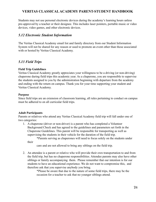Students may not use personal electronic devices during the academy's learning hours unless pre-approved by a teacher or their designee. This includes laser pointers, portable music or video devices, video games, and other electronic devices.

#### *5.12 Electronic Student Information*

The Veritas Classical Academy email list and family directory from our Student Information System will not be shared for any reason or used to promote an event other than those associated with or hosted by Veritas Classical Academy.

#### *5.13 Field Trips*

#### **Field Trip Guidelines**

Veritas Classical Academy greatly appreciates your willingness to be a driving (or non-driving) chaperone during field trips this academic year. As a chaperone, you are responsible to supervise the students assigned to you by the administration beginning with departure from the academy and ending with the return on campus. Thank you for your time supporting your student and Veritas Classical Academy.

#### **Purpose**

Since field trips are an extension of classroom learning, all rules pertaining to conduct on campus must be adhered to on all curricular field trips.

#### **Adult Participants**

Parents or relatives who attend any Veritas Classical Academy field trip will fall under one of two categories:

1. A chaperone (driver or non-driver) is a parent who has completed a Volunteer Background Check and has agreed to the guidelines and parameters set forth in the Chaperone Guidelines. This parent will be responsible for transporting as well as supervising the students in their vehicle for the duration of the field trip.

\*Parents serving as chaperones will need to focus solely on the students under their

care and are not allowed to bring any siblings on the field trip.

2. An attendee is a parent or relative who will provide their own transportation to and from the field trip, but has no chaperone responsibilities. Attendee parents may also have other siblings or family accompanying them. Please remember that our intention is for our students to have an educational experience. We do not want to compromise this, and therefore ask that you supervise anybody you bring.

> \*Please be aware that due to the nature of some field trips, there may be the occasion for a teacher to ask that no younger siblings attend.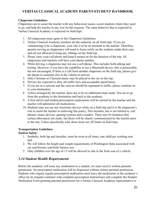#### **Chaperone Guidelines**

Chaperones are to assist the teacher with any behavioral issues, escort students where they need to go, and help the teacher in any way he/she requests. The same behavior that is expected at Veritas Classical Academy is expected on field trips.

- 1. All chaperones must agree to the Chaperone Guidelines.
- 2. Veritas Classical Academy teachers are the authority on all field trips. If you are volunteering to be a chaperone, your role is to be an assistant to the teacher. Therefore, parents serving as chaperones will need to focus solely on the students under their care, and are not allowed to bring any siblings on the field trip.
- 3. Please carry your cell phone and keep it turned on for the duration of the trip. All chaperones and teachers will have your phone number.
- 4. While driving, a chaperone may not use a cell phone. This includes both talking and texting. However, if you have the capability to use a Bluetooth device, that is permissible, but not encouraged. If there is a call from another chaperone on the field trip, please give the phone to someone else in the vehicle to answer.
- 5. Only Christian or Classical music may be played in the car on the trip.
- 6. Drivers are expected to obey all traffic laws and acceptable speed limits.
- 7. If you are in a caravan and the caravan should be separated in traffic, please continue on to your destination.
- 8. Unless arranged by the teacher, there are to be no additional stops made. You are to go from the academy to the destination and back to the academy.
- 9. A first aid kit and student prescription medications will be carried by the teacher and the teacher will administer all medications.
- 10. Students may not use any electronic devices while on a field trip and it is the chaperone's role to assist the teacher in enforcing this policy. This includes, but is not limited to, cell phones, music devices, gaming systems and e-readers. There may be instances that certain allowances are made, but those will be clearly communicated by the teacher prior to the trip. Unless specifically told, these items are off limits on field trips.

#### **Transportation Guidelines**

#### *Student Safety:*

- 1. Seatbelts, both lap and shoulder, must be worn at all times; one child per working seat belt.
- 2. We will follow the height and weight requirements of Washington State associated with car seat/booster seat/body harness use.
- 3. Only children over the age of 13 will be allowed to ride in the front seat of a vehicle.

## *5.14 Student Health Requirements*

Before the academy will issue any medication to a student, we must receive written parental permission. No prescription medication will be dispensed without written parental permission. Students who require regular prescription medication must leave the medication in the academy's office (in its original container with complete prescription instructions) and complete the Student Medication Form granting parental permission for a Veritas Classical Academy representative to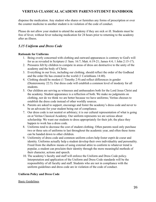dispense the medication. Any student who shares or furnishes any forms of prescription or over the counter medicine to another student is in violation of the code of conduct.

Please do not allow your student to attend the academy if they are sick or ill. Students must be free of fever, without fever reducing medication for 24 hours prior to returning to the academy after an illness.

## *5.15 Uniform and Dress Code*

#### **Rationale for Uniforms**

- 1. Being overly concerned with clothing and outward appearances is contrary to God's will for us as revealed in Scripture (1 Sam. 16:7; Matt. 6:19-21; James 4:4; 1 John 2:15-17).
- 2. Pressures felt by children to compete in areas of dress are destructive to the unity of the academy and the body of Christ.
- 3. Everything in our lives, including our clothing, should reflect the order of the Godhead and the order He has created in the world (1 Corinthians 14:40).
- 4. Clothing should be modest (1 Timothy 2:9) and reflect differences in gender (Deuteronomy 22:5). Our dress code will establish a common level of modesty for all students.
- 5. Our children are serving as witnesses and ambassadors both for the Lord Jesus Christ and the academy. Student appearance is a reflection of both. We make no judgments on clothing, nor do we think we are better because we have uniforms; Veritas chooses to establish the dress code instead of other worldly sources.
- 6. Parents are asked to support, encourage and foster the academy's dress code and never to be an advocate for your student being out of compliance.
- 7. Our dress code is not neutral or arbitrary; it is our cultural representation of what is going on at Veritas Classical Academy. Our uniform represents we are serious about scholarship. We want our students to dress appropriately for their job; the place they happen to work has a dress code.
- 8. Uniforms tend to decrease the cost of student clothing. Often parents need only purchase two or three sets of uniforms to last throughout the academic year, and often these items can be handed down to other children.
- 9. Uniformity of dress code and common uniform colors help foster esprit de coeur and identity. Uniforms actually help a student develop their own individuality and personality. Freed from the shallow means of using external attire to conform to whatever trend is popular, a student can proclaim their identity through the more meaningful methods of their character, actions and speech.
- 10. The academy's faculty and staff will enforce the Uniform and Dress Code policy. Interpretation and application of the Uniform and Dress Code standards will be the responsibility of all faculty and staff. Students who are not in compliance with the uniform guidelines and dress code are in violation of the code of conduct.

#### **Uniform Policy and Dress Code**

#### Basic Guidelines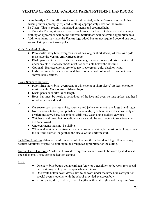- Dress Neatly That is, all shirts tucked in, shoes tied, no holes/tears/stains on clothes, missing buttons promptly replaced, clothing appropriately sized for the wearer.
- Be Clean That is, recently laundered garments and groomed hair.
- Be Modest That is, skirts and shorts should touch the knee. Outlandish or distracting clothing or appearance will not be allowed. Staff/Board will determine appropriateness.
- Additional items may have the **Veritas logo** added but are not required beyond one polo. We use D4 Sports in Cosmopolis.

#### Girls' Standard Uniform

- Polo shirts: navy blue, evergreen, or white (long or short sleeve) At least **one polo** must have the **Veritas embroidered logo**.
- Khaki pants, skirt, skort, or shorts: knee length with modesty shorts or white tights under any skirt, modesty shorts must not be visible below the skirtline.
- Optional: Hair accessories are to be navy, evergreen, gold, black or white.
- Girls' hair must be neatly groomed, have no unnatural colors added, and not have shaved bald sections.

#### Boys' Standard Uniform

- Polo shirts: navy blue, evergreen, or white (long or short sleeve) At least one polo must have the **Veritas embroidered logo**.
- Khaki pants or shorts: knee length.
- Boys' hair must be neatly groomed, out of the face and eyes, no long spikes, and head is not to be shaved bald.

All

- Outerwear such as sweatshirts, sweaters and jackets must not have large brand logos.
- No cosmetics, tattoos, nail polish, artificial nails, dyed hair, hair extensions, body art, or piercings anywhere. Exceptions: Girls may wear single studded earrings.
- Watches are allowed but no audible alarms should be set. Electronic smart-watches are not allowed.
- Undergarments must not be visible.
- White undershirts or camisoles may be worn under shirts, but must not be longer than the uniform shirt or longer than the sleeve of the uniform shirt.

Field Trip Uniform - Standard uniform with polo that has the embroidered logo. Teachers may request additional or specific clothing to be brought as appropriate for the outing.

Special Event Uniform - Veritas will provide evergreen ties and bows to be worn by students at special events. These are to be kept on campus.

Girls:

- One navy blue button down cardigan (crew or v-neckline): to be worn for special events & may be kept on campus when not in use.
- One white button down dress shirt: to be worn under the navy blue cardigan for special events together with the school-provided evergreen bow.
- Khaki pants, skirt, or skort,: knee length with white tights under any skirt/skort.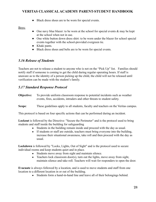● Black dress shoes are to be worn for special events.

#### Boys:

- One navy blue blazer: to be worn at the school for special events  $\&$  may be kept at the school when not in use.
- One white button down dress shirt: to be worn under the blazer for school special events together with the school-provided evergreen tie.
- Khaki pants.
- Black dress shoes and belts are to be worn for special events.

## *5.16 Release of Students*

Teachers are not to release a student to anyone who is not on the "Pick Up" list. Families should notify staff if someone is coming to get the child during regular operating hours. If staff is unaware as to the identity of a person picking up the child, the child will not be released until verification can be made with the student's family.

## *5.17 Standard Response Protocol*

- **Objective:** To provide uniform classroom response to potential incidents such as weather events, fires, accidents, intruders and other threats to student safety.
- **Scope**: These guidelines apply to all students, faculty and teachers on the Veritas campus.

This protocol is based on four specific actions that can be performed during an incident.

**Lockout** is followed by the Directive: "Secure the Perimeter" and is the protocol used to bring students and staff inside the building for safeguarding

- Students in the building remain inside and proceed with the day as usual.
- If students or staff are outside, teachers must bring everyone into the building, increase their situational awareness, take roll and then proceed with the day as usual.

**Lockdown** is followed by "Locks, Lights, Out of Sight" and is the protocol used to secure individual rooms and keep students quiet and in place.

- Students move away from sight and maintain silence.
- Teachers lock classroom door(s), turn out the lights, move away from sight, maintain silence and take roll. Teachers will wait for responders to open the door.

**Evacuate** is always followed by a location, and is used to move students and staff from one location to a different location in or out of the building.

• Students form a hand-in-hand line and leave all of their belongings behind.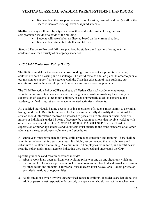• Teachers lead the group to the evacuation location, take roll and notify staff or the Board if there are missing, extra or injured students.

**Shelter** is always followed by a type and a method and is the protocol for group and self-protection inside or outside of the building.

- Students will take shelter as directed based on the current situation.
- Teachers lead students to shelter and take roll.

Standard Response Protocol drills are practiced by students and teachers throughout the academic year for a variety of emergency scenarios

## *5.18 Child Protection Policy (CPP)*

The Biblical model for the home and corresponding commands of scripture for educating children are both a blessing and a challenge. The world remains a fallen place. In order to pursue our mission to support Veritas parents with the Christian education of their students, our operations must include a child protection policy and corresponding practices.

The Child Protection Policy (CPP) applies to all Veritas Classical Academy employees, volunteers and substitute teachers who are serving in any position involving the custody or supervision of students, other minor children, or developmentally disabled persons at the academy, on field trips, retreats or academy related activities and events.

All qualified individuals having access to or in supervision of students must submit to a criminal background check. Results from these checks may automatically disqualify the individual for service should information received be assessed to pose a risk to children or others. Students, minors or individuals under 18 years of age may be used in positions that involve working with other students and children ONLY WITH ADEQUATE ADULT SUPERVISION. Adult supervision of minor age students and volunteers must qualify to the same standards of all other adult supervisors, employees, volunteers and substitutes.

All employees must participate in formal child protection education and training. There shall be a minimum of one training session a year. It is highly recommended that all volunteers and substitutes also attend the training. As a minimum, all employees, volunteers, and substitutes will read the policy and sign a statement indicating they have read and understand the CPP.

Specific guidelines and recommendations include:

- 1. Always work in an open environment avoiding private or one on one situations which are unobservable. Doors are open and unlocked, windows are not blocked and visual supervision by other adults and students is allowable. Visual access must be available – avoid private or secluded situations or opportunities.
- 2. Avoid situations which involve unsupervised access to children. If students are left alone, the adult or person most responsible for custody or supervision should contact the teacher next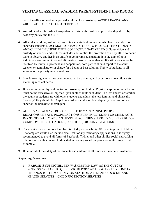door, the office or another approved adult in close proximity. AVOID LEAVING ANY GROUP OF STUDENTS UNSUPERVISED.

- 3. Any adult which furnishes transportation of students must be approved and qualified by academy policy and the CPP.
- 4. All adults, workers, volunteers, substitutes or student volunteers who have custody of or supervise students MUST MONITOR EACH OTHER TO PROTECT THE STUDENTS AND CHILDREN UNDER THEIR COLLECTIVE SAFEKEEPING. Supervision and custody of students and children includes and implies the protection of all by all. If someone were to observe another in an unsafe or compromised situation, it is the duty of both individuals to communicate and eliminate exposure risk or danger. If a situation cannot be resolved by mutual agreement and cooperation, both parties should report to the adult, teacher, or administrator in charge for a better or best solution. Safety of students in all settings is the priority in all situations.
- 5. Should overnight activities be scheduled, extra planning will occur to ensure child safety including medical needs.
- 6. Be aware of your physical contact or proximity to children. Physical expression of affection must not be excessive or imposed upon another adult or student. The less known or familiar the adults or students are with other students and adults, the less familiar and physically "friendly" they should be. A spoken word, a friendly smile and quality conversation are superior ice-breakers for strangers.
- 7. ADULTS ARE ALWAYS RESPONSIBLE FOR MAINTAINING PROPER RELATIONSHIPS AND PROPER ACTIONS EVEN IF A STUDENT OR CHILD ACTS INAPPROPRIATELY. ADULTS NEVER PLACE THEMSELVES IN VULNERABLE OR COMPROMISING SITUATIONS, POSITIONS, OR CONVERSATIONS.
- 8. These guidelines serve as a template for Godly responsibility. We have to protect children. The template would also include email, text or any technology applications. It is highly recommended to avoid all forms of Facebook, Twitter and other similar social networking relationships with a minor child or student for any social purposes not in the proper context of family.
- 9. Be mindful of the safety of the students and children at all times and in all circumstances.

#### **Reporting Procedure**

1. IF ABUSE IS SUSPECTED, PER WASHINGTON LAW, AS THE OUTCRY WITNESS, YOU ARE REQUIRED TO REPORT WITHIN 48 HOURS OF INITIAL FINDINGS TO THE WASHINGTON STATE DEPARTMENT OF SOCIAL AND HEALTH SERVICES – CHILD PROTECTION SERVICES.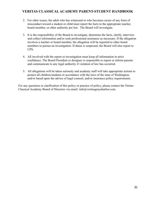- 2. For other issues, the adult who has witnessed or who becomes aware of any form of misconduct toward a student or child must report the facts to the appropriate teacher, board member, or other authority per law. The Board will investigate.
- 3. It is the responsibility of the Board to investigate, determine the facts, clarify, interview and collect information and/or seek professional assistance as necessary. If the allegation involves a teacher or board member, the allegation will be reported to other board members to pursue an investigation. If abuse is suspected, the Board will also report to CPS.
- 4. All involved with the report or investigation must keep all information in strict confidence. The Board President or designee is responsible to report or inform parents and communicate to any legal authority if violation of law has occurred.
- 5. All allegations will be taken seriously and academy staff will take appropriate actions to protect all children/students in accordance with the laws of the state of Washington, and/or based upon the advice of legal counsel, and/or insurance policy requirements.

For any questions or clarification of this policy or practice of policy, please contact the Veritas Classical Academy Board of Directors via email: info@veritasgraysharbor.com.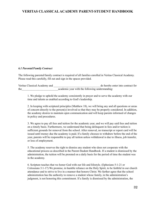#### *6.1 Parental/Family Contract*

The following parental/family contract is required of all families enrolled in Veritas Classical Academy. Please read this carefully, fill out and sign in the spaces provided.

Veritas Classical Academy and  $\Box$  do hereby enter into contract for the academic year with the following understanding:

1. We pledge to uphold the academy consistently in prayer and to serve the academy with our time and talents as enabled according to God's leadership.

2. In keeping with scriptural principles (Matthew 18), we will bring any and all questions or areas of concern directly to the person(s) involved so that they may be properly considered. In addition, the academy desires to maintain open communication and will keep parents informed of changes in policy and procedures.

3. We agree to pay all fees and tuition for the academic year, and we will pay said fees and tuition on a timely basis. Furthermore, we understand that being delinquent in fees and/or tuition is sufficient grounds for removal from the school. After removal, no transcript or report card will be issued until money due the academy is paid. If a family chooses to withdraw before the end of the year, parents will be responsible to pay all tuition unless withdrawal is due to illness, job transfer, or loss of employment.

5. The academy reserves the right to dismiss any student who does not cooperate with the educational process as described in the Parent-Student Handbook. If a student is dismissed by the administration, the tuition will be prorated on a daily basis for the period of time the student was in the academy.

6. Scripture teaches that we honor God with our life and lifestyle. (Ephesians 5:1-21 or Colossians 3:1-17) We promise, in humble reliance on the Holy Spirit, to be faithful in our church attendance and to strive to live in a manner that honors Christ. We further agree that the school administration has the authority to remove a student whose family, in the administration's judgment, is not honoring this commitment. If a family is dismissed by the administration, the